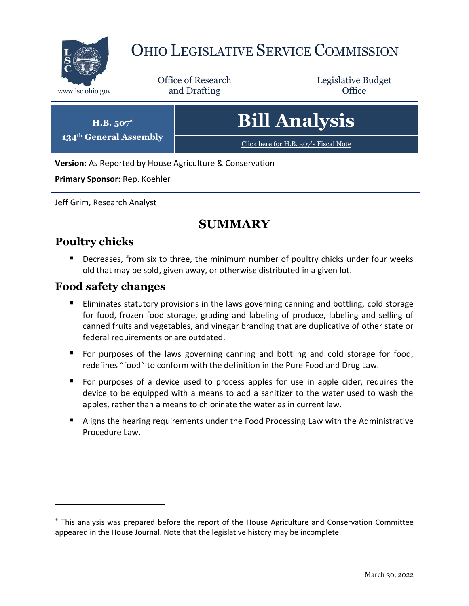

**134th General Assembly**

 $\overline{a}$ 

# OHIO LEGISLATIVE SERVICE COMMISSION

Office of Research www.lsc.ohio.gov **and Drafting Office** 

Legislative Budget

| $H.B. 507^*$<br><sup>th</sup> General Assembly | <b>Bill Analysis</b>                  |
|------------------------------------------------|---------------------------------------|
|                                                | Click here for H.B. 507's Fiscal Note |

**Version:** As Reported by House Agriculture & Conservation

**Primary Sponsor:** Rep. Koehler

Jeff Grim, Research Analyst

# **SUMMARY**

# **Poultry chicks**

**Decreases, from six to three, the minimum number of poultry chicks under four weeks** old that may be sold, given away, or otherwise distributed in a given lot.

### **Food safety changes**

- **Eliminates statutory provisions in the laws governing canning and bottling, cold storage** for food, frozen food storage, grading and labeling of produce, labeling and selling of canned fruits and vegetables, and vinegar branding that are duplicative of other state or federal requirements or are outdated.
- **F** For purposes of the laws governing canning and bottling and cold storage for food, redefines "food" to conform with the definition in the Pure Food and Drug Law.
- For purposes of a device used to process apples for use in apple cider, requires the device to be equipped with a means to add a sanitizer to the water used to wash the apples, rather than a means to chlorinate the water as in current law.
- Aligns the hearing requirements under the Food Processing Law with the Administrative Procedure Law.

This analysis was prepared before the report of the House Agriculture and Conservation Committee appeared in the House Journal. Note that the legislative history may be incomplete.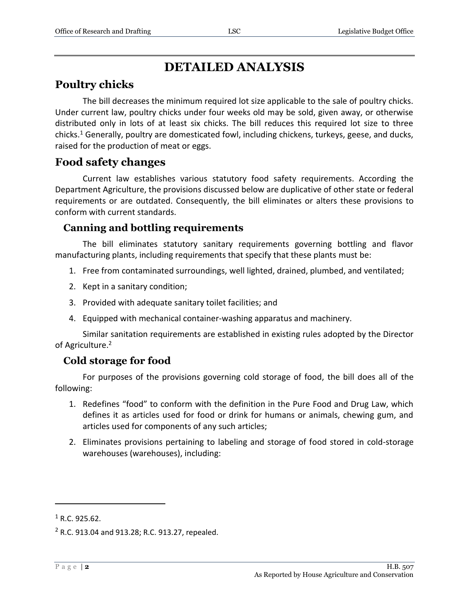# **DETAILED ANALYSIS**

# **Poultry chicks**

The bill decreases the minimum required lot size applicable to the sale of poultry chicks. Under current law, poultry chicks under four weeks old may be sold, given away, or otherwise distributed only in lots of at least six chicks. The bill reduces this required lot size to three chicks.<sup>1</sup> Generally, poultry are domesticated fowl, including chickens, turkeys, geese, and ducks, raised for the production of meat or eggs.

### **Food safety changes**

Current law establishes various statutory food safety requirements. According the Department Agriculture, the provisions discussed below are duplicative of other state or federal requirements or are outdated. Consequently, the bill eliminates or alters these provisions to conform with current standards.

### **Canning and bottling requirements**

The bill eliminates statutory sanitary requirements governing bottling and flavor manufacturing plants, including requirements that specify that these plants must be:

- 1. Free from contaminated surroundings, well lighted, drained, plumbed, and ventilated;
- 2. Kept in a sanitary condition;
- 3. Provided with adequate sanitary toilet facilities; and
- 4. Equipped with mechanical container-washing apparatus and machinery.

Similar sanitation requirements are established in existing rules adopted by the Director of Agriculture.<sup>2</sup>

# **Cold storage for food**

For purposes of the provisions governing cold storage of food, the bill does all of the following:

- 1. Redefines "food" to conform with the definition in the Pure Food and Drug Law, which defines it as articles used for food or drink for humans or animals, chewing gum, and articles used for components of any such articles;
- 2. Eliminates provisions pertaining to labeling and storage of food stored in cold-storage warehouses (warehouses), including:

 $1$  R.C. 925.62.

 $2$  R.C. 913.04 and 913.28; R.C. 913.27, repealed.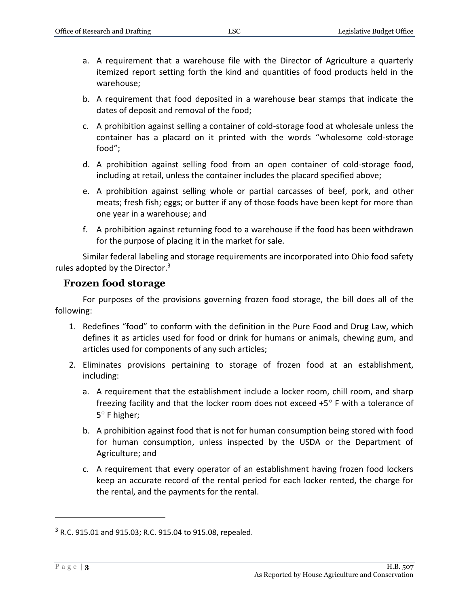- a. A requirement that a warehouse file with the Director of Agriculture a quarterly itemized report setting forth the kind and quantities of food products held in the warehouse;
- b. A requirement that food deposited in a warehouse bear stamps that indicate the dates of deposit and removal of the food;
- c. A prohibition against selling a container of cold-storage food at wholesale unless the container has a placard on it printed with the words "wholesome cold-storage food";
- d. A prohibition against selling food from an open container of cold-storage food, including at retail, unless the container includes the placard specified above;
- e. A prohibition against selling whole or partial carcasses of beef, pork, and other meats; fresh fish; eggs; or butter if any of those foods have been kept for more than one year in a warehouse; and
- f. A prohibition against returning food to a warehouse if the food has been withdrawn for the purpose of placing it in the market for sale.

Similar federal labeling and storage requirements are incorporated into Ohio food safety rules adopted by the Director.<sup>3</sup>

#### **Frozen food storage**

For purposes of the provisions governing frozen food storage, the bill does all of the following:

- 1. Redefines "food" to conform with the definition in the Pure Food and Drug Law, which defines it as articles used for food or drink for humans or animals, chewing gum, and articles used for components of any such articles;
- 2. Eliminates provisions pertaining to storage of frozen food at an establishment, including:
	- a. A requirement that the establishment include a locker room, chill room, and sharp freezing facility and that the locker room does not exceed  $+5^{\circ}$  F with a tolerance of  $5^\circ$  F higher;
	- b. A prohibition against food that is not for human consumption being stored with food for human consumption, unless inspected by the USDA or the Department of Agriculture; and
	- c. A requirement that every operator of an establishment having frozen food lockers keep an accurate record of the rental period for each locker rented, the charge for the rental, and the payments for the rental.

<sup>3</sup> R.C. 915.01 and 915.03; R.C. 915.04 to 915.08, repealed.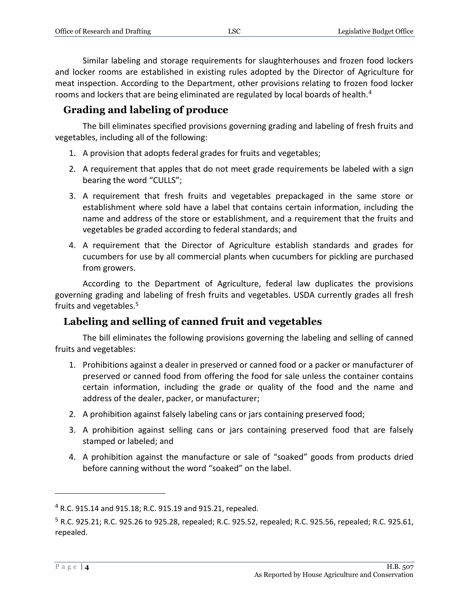Similar labeling and storage requirements for slaughterhouses and frozen food lockers and locker rooms are established in existing rules adopted by the Director of Agriculture for meat inspection. According to the Department, other provisions relating to frozen food locker rooms and lockers that are being eliminated are regulated by local boards of health.<sup>4</sup>

## **Grading and labeling of produce**

The bill eliminates specified provisions governing grading and labeling of fresh fruits and vegetables, including all of the following:

- 1. A provision that adopts federal grades for fruits and vegetables;
- 2. A requirement that apples that do not meet grade requirements be labeled with a sign bearing the word "CULLS";
- 3. A requirement that fresh fruits and vegetables prepackaged in the same store or establishment where sold have a label that contains certain information, including the name and address of the store or establishment, and a requirement that the fruits and vegetables be graded according to federal standards; and
- 4. A requirement that the Director of Agriculture establish standards and grades for cucumbers for use by all commercial plants when cucumbers for pickling are purchased from growers.

According to the Department of Agriculture, federal law duplicates the provisions governing grading and labeling of fresh fruits and vegetables. USDA currently grades all fresh fruits and vegetables.<sup>5</sup>

# **Labeling and selling of canned fruit and vegetables**

The bill eliminates the following provisions governing the labeling and selling of canned fruits and vegetables:

- 1. Prohibitions against a dealer in preserved or canned food or a packer or manufacturer of preserved or canned food from offering the food for sale unless the container contains certain information, including the grade or quality of the food and the name and address of the dealer, packer, or manufacturer;
- 2. A prohibition against falsely labeling cans or jars containing preserved food;
- 3. A prohibition against selling cans or jars containing preserved food that are falsely stamped or labeled; and
- 4. A prohibition against the manufacture or sale of "soaked" goods from products dried before canning without the word "soaked" on the label.

<sup>4</sup> R.C. 915.14 and 915.18; R.C. 915.19 and 915.21, repealed.

<sup>5</sup> R.C. 925.21; R.C. 925.26 to 925.28, repealed; R.C. 925.52, repealed; R.C. 925.56, repealed; R.C. 925.61, repealed.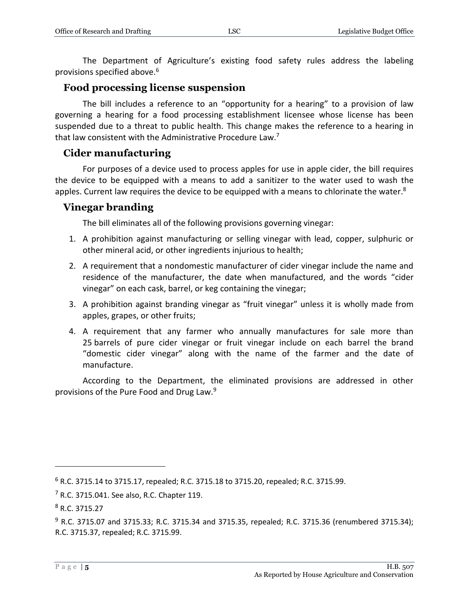The Department of Agriculture's existing food safety rules address the labeling provisions specified above.<sup>6</sup>

#### **Food processing license suspension**

The bill includes a reference to an "opportunity for a hearing" to a provision of law governing a hearing for a food processing establishment licensee whose license has been suspended due to a threat to public health. This change makes the reference to a hearing in that law consistent with the Administrative Procedure Law.<sup>7</sup>

### **Cider manufacturing**

For purposes of a device used to process apples for use in apple cider, the bill requires the device to be equipped with a means to add a sanitizer to the water used to wash the apples. Current law requires the device to be equipped with a means to chlorinate the water.<sup>8</sup>

### **Vinegar branding**

The bill eliminates all of the following provisions governing vinegar:

- 1. A prohibition against manufacturing or selling vinegar with lead, copper, sulphuric or other mineral acid, or other ingredients injurious to health;
- 2. A requirement that a nondomestic manufacturer of cider vinegar include the name and residence of the manufacturer, the date when manufactured, and the words "cider vinegar" on each cask, barrel, or keg containing the vinegar;
- 3. A prohibition against branding vinegar as "fruit vinegar" unless it is wholly made from apples, grapes, or other fruits;
- 4. A requirement that any farmer who annually manufactures for sale more than 25 barrels of pure cider vinegar or fruit vinegar include on each barrel the brand "domestic cider vinegar" along with the name of the farmer and the date of manufacture.

According to the Department, the eliminated provisions are addressed in other provisions of the Pure Food and Drug Law.<sup>9</sup>

<sup>6</sup> R.C. 3715.14 to 3715.17, repealed; R.C. 3715.18 to 3715.20, repealed; R.C. 3715.99.

 $7$  R.C. 3715.041. See also, R.C. Chapter 119.

<sup>8</sup> R.C. 3715.27

 $9$  R.C. 3715.07 and 3715.33; R.C. 3715.34 and 3715.35, repealed; R.C. 3715.36 (renumbered 3715.34); R.C. 3715.37, repealed; R.C. 3715.99.